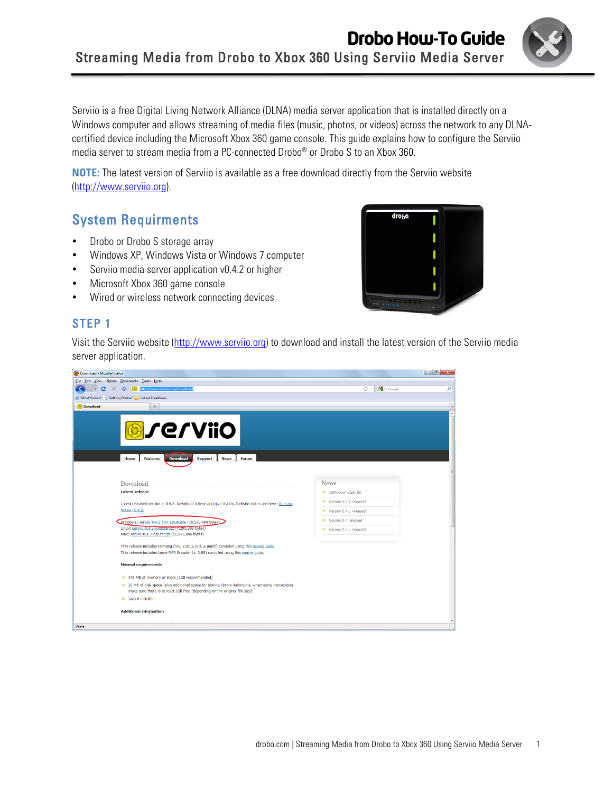

Serviio is a free Digital Living Network Alliance (DLNA) media server application that is installed directly on a Windows computer and allows streaming of media files (music, photos, or videos) across the network to any DLNAcertified device including the Microsoft Xbox 360 game console. This guide explains how to configure the Serviio media server to stream media from a PC-connected Drobo® or Drobo S to an Xbox 360.

**NOTE:** The latest version of Serviio is available as a free download directly from the Serviio website (http://www.serviio.org).

# System Requirments

- Drobo or Drobo S storage array
- Windows XP, Windows Vista or Windows 7 computer
- Serviio media server application v0.4.2 or higher
- Microsoft Xbox 360 game console
- Wired or wireless network connecting devices

### STEP 1

Π

drobo

Visit the Serviio website (http://www.serviio.org) to download and install the latest version of the Serviio media server application.

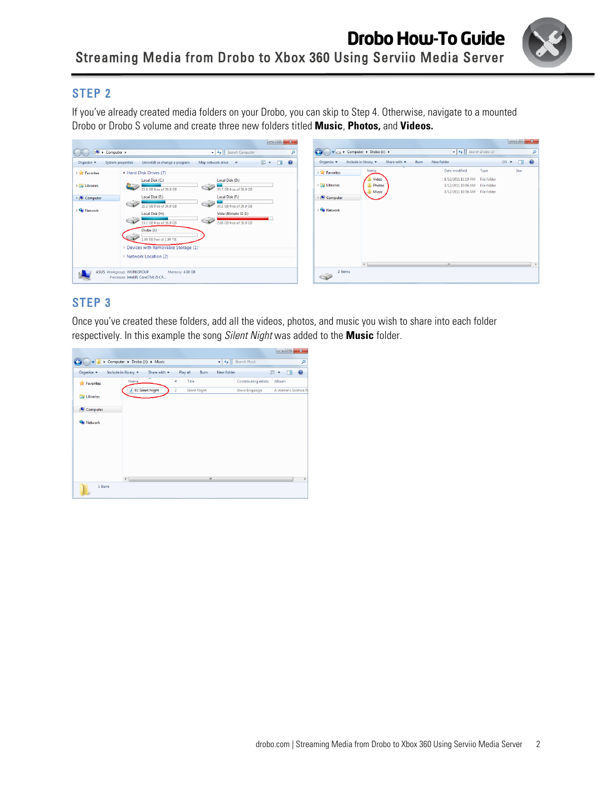

If you've already created media folders on your Drobo, you can skip to Step 4. Otherwise, navigate to a mounted Drobo or Drobo S volume and create three new folders titled **Music**, **Photos,** and **Videos.**

|                     | <b>N</b> > Computer >     |                                                       | $\bullet$ $\bullet$ Search Computer              |                                     | ام | $\bullet$                                 | $\bullet$ Computer $\bullet$ Drobo (J:) $\bullet$ |                                         | $\bullet$ $\bullet$ $\bullet$ Search Drobo ( <i>l</i> :)                                           |      |     |        | م         |
|---------------------|---------------------------|-------------------------------------------------------|--------------------------------------------------|-------------------------------------|----|-------------------------------------------|---------------------------------------------------|-----------------------------------------|----------------------------------------------------------------------------------------------------|------|-----|--------|-----------|
| Organize v          | System properties         | Uninstall or change a program                         | Map network drive >>                             | $\frac{1}{M}$<br>$\Box$<br>$\Omega$ |    | Organize v                                | Include in library                                | Share with $\blacktriangledown$<br>Burn | New folder                                                                                         |      | 图 + | $\Box$ | $\bullet$ |
| <b>DE Favorites</b> |                           | - Hard Disk Drives (7)                                |                                                  |                                     |    | <b>P</b> Sec Favorites                    | Name                                              |                                         | Date modified                                                                                      | Type |     | Size   |           |
| <b>Explorances</b>  |                           | Local Disk (C:)<br>23.9 GB free of 36.9 GB            | Local Disk (D:)<br>33.7 GB free of 36.9 GB       |                                     |    | $\triangleright$ $\blacksquare$ Libraries | Video<br>Photos<br><b>Music</b>                   |                                         | 1/12/2011 11:19 AM File folder<br>1/12/2011 10:56 AM File folder<br>1/12/2011 10:56 AM File folder |      |     |        |           |
| Computer            |                           | Local Disk (E:)                                       | Local Disk (F:)                                  |                                     |    | <b>Computer</b>                           |                                                   |                                         |                                                                                                    |      |     |        |           |
| <b>Gu</b> Network   |                           | 21.2 GB free of 36.9 GB<br>Local Disk (H:)            | 33.1 GB free of 36.9 GB<br>Vista Ultimate 32 (L) |                                     |    | <b>Gu</b> Network                         |                                                   |                                         |                                                                                                    |      |     |        |           |
|                     |                           | 19.2 GB free of 36.9 GB                               | 2.86 GB free of 36.9 GB                          |                                     |    |                                           |                                                   |                                         |                                                                                                    |      |     |        |           |
|                     |                           | Drobo (J:)<br>1.99 TB free of 1.99 TB                 |                                                  |                                     |    |                                           |                                                   |                                         |                                                                                                    |      |     |        |           |
|                     |                           | Devices with Removable Storage (1)                    |                                                  |                                     |    |                                           |                                                   |                                         |                                                                                                    |      |     |        |           |
|                     |                           | ▷ Network Location (2)                                |                                                  |                                     |    |                                           |                                                   |                                         |                                                                                                    |      |     |        |           |
|                     |                           |                                                       |                                                  |                                     |    |                                           |                                                   |                                         | m.                                                                                                 |      |     |        |           |
|                     | ASUS Workgroup: WORKGROUP | Memory: 4.00 GB<br>Processor: Intel(R) Core(TM) i5 CP |                                                  |                                     |    | ŠĨ                                        | 3 items                                           |                                         |                                                                                                    |      |     |        |           |

# STEP 3

Once you've created these folders, add all the videos, photos, and music you wish to share into each folder respectively. In this example the song *Silent Night* was added to the **Music** folder.

|                    |                               |                   |                     |                    |                      | $\mathbf{z}$<br>$-0$     |
|--------------------|-------------------------------|-------------------|---------------------|--------------------|----------------------|--------------------------|
| $\bullet$ M        | Computer > Drobo (J:) > Music |                   |                     | $4 +$<br>$\bullet$ | Search Music         | م                        |
| Organize -         | Include in library            | Share with $\sim$ | Play all<br>Burn    | New folder         |                      | $\circledR$<br>距 -<br>ΠI |
| <b>A</b> Favorites | ×<br><b>Name</b>              | ÷                 | Title               |                    | Contributing artists | Album                    |
| Libraries          | 02 Silent Night<br>D          | $\overline{2}$    | <b>Silent Night</b> |                    | Steve Eriquiaga      | A Winter's Solstice IV   |
| Computer           |                               |                   |                     |                    |                      |                          |
| <b>Gu</b> Network  |                               |                   |                     |                    |                      |                          |
|                    |                               |                   |                     |                    |                      |                          |
|                    |                               |                   |                     |                    |                      |                          |
|                    |                               |                   |                     |                    |                      |                          |
| 1 item             | $\overline{a}$                |                   | m                   |                    |                      | r                        |
|                    |                               |                   |                     |                    |                      |                          |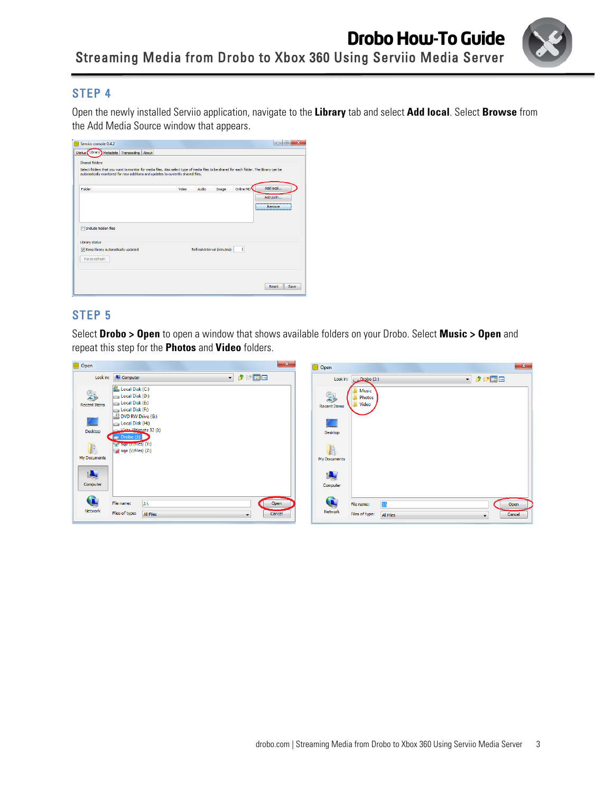

Open the newly installed Serviio application, navigate to the **Library** tab and select **Add local**. Select **Browse** from the Add Media Source window that appears.

| Shared folders                                                                                                                                                                                                                |       |       |                             |           |           |
|-------------------------------------------------------------------------------------------------------------------------------------------------------------------------------------------------------------------------------|-------|-------|-----------------------------|-----------|-----------|
| Select folders that you want to monitor for media files. Also select type of media files to be shared for each folder. The library can be<br>automatically monitored for new additions and updates to currently shared files. |       |       |                             |           |           |
|                                                                                                                                                                                                                               |       |       |                             |           |           |
| Folder                                                                                                                                                                                                                        | Video | Audio | Image                       | Online MD | Add local |
|                                                                                                                                                                                                                               |       |       |                             |           | Add path  |
|                                                                                                                                                                                                                               |       |       |                             |           | Remove    |
|                                                                                                                                                                                                                               |       |       |                             |           |           |
|                                                                                                                                                                                                                               |       |       |                             |           |           |
|                                                                                                                                                                                                                               |       |       |                             |           |           |
|                                                                                                                                                                                                                               |       |       |                             |           |           |
|                                                                                                                                                                                                                               |       |       |                             |           |           |
|                                                                                                                                                                                                                               |       |       |                             | 5         |           |
|                                                                                                                                                                                                                               |       |       | Refresh interval (minutes): |           |           |
| Force refresh                                                                                                                                                                                                                 |       |       |                             |           |           |
| Include hidden files<br>Library status<br>V Keep library automatically updated                                                                                                                                                |       |       |                             |           |           |

# STEP 5

Select **Drobo > Open** to open a window that shows available folders on your Drobo. Select **Music > Open** and repeat this step for the **Photos** and **Video** folders.

| <b>O</b> Open             |                                                                                                                | $\mathbf{x}$<br>$\mathbf{x}$<br>O Open                                                                             |
|---------------------------|----------------------------------------------------------------------------------------------------------------|--------------------------------------------------------------------------------------------------------------------|
|                           | $\blacksquare$<br>Look in: <b>ILL</b> Computer                                                                 | ・まず品品<br>Look in: Drobo (J:)                                                                                       |
| \$<br><b>Recent Items</b> | Local Disk (C:)<br>Local Disk (D:)<br>Local Disk (E:)<br>Local Disk (F:)                                       | Music<br>$\mathbb{R}$<br>Photos<br>Video<br><b>Recent Items</b>                                                    |
| Desktop                   | DVD RW Drive (G:)<br>Local Disk (H:)<br>Mista Illtimate 32 (I:)<br>$\blacksquare_0$ Drobo (J:)                 | Desktop                                                                                                            |
| E<br>My Documents         | <b>Syd (Wiles)</b> (Y:)<br>sqa (\\files) (Z:)                                                                  | <b>I</b><br>My Documents                                                                                           |
| 嗅<br>Computer             |                                                                                                                | I.<br>Computer                                                                                                     |
| Q<br>Network              | File name:<br>$\vert$ ): \<br>Open<br>Files of type:<br><b>All Files</b><br>Cancel<br>$\overline{\phantom{a}}$ | Q<br>$\mathbf{E}$<br>File name:<br>Open<br>Network<br>Files of type:<br><b>All Files</b><br>Cancel<br>$\mathbf{r}$ |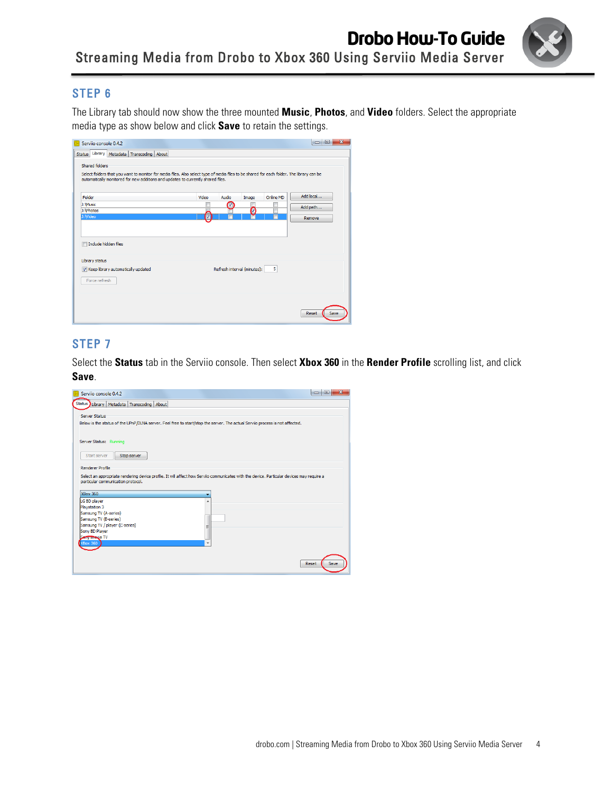

The Library tab should now show the three mounted **Music**, **Photos**, and **Video** folders. Select the appropriate media type as show below and click **Save** to retain the settings.

| Servijo console 0.4.2<br>Library   Metadata   Transcoding  <br>About<br><b>Status</b><br>Shared folders<br>Select folders that you want to monitor for media files. Also select type of media files to be shared for each folder. The library can be<br>automatically monitored for new additions and updates to currently shared files. |       |       |                             |           | $\overline{\mathbf{x}}$<br>回<br><b>I</b> o |
|------------------------------------------------------------------------------------------------------------------------------------------------------------------------------------------------------------------------------------------------------------------------------------------------------------------------------------------|-------|-------|-----------------------------|-----------|--------------------------------------------|
| Folder                                                                                                                                                                                                                                                                                                                                   | Video | Audio | Image                       | Online MD | Add local                                  |
| J: Music<br>J: \Photos                                                                                                                                                                                                                                                                                                                   |       | M     | Ø                           |           | Add path                                   |
| J: Wideo                                                                                                                                                                                                                                                                                                                                 | V     |       |                             |           | Remove                                     |
| Include hidden files<br>П<br>Library status                                                                                                                                                                                                                                                                                              |       |       |                             |           |                                            |
| V Keep library automatically updated<br>Force refresh                                                                                                                                                                                                                                                                                    |       |       | Refresh interval (minutes): | 5         |                                            |
|                                                                                                                                                                                                                                                                                                                                          |       |       |                             |           | Save<br>Reset                              |

## STEP 7

Select the **Status** tab in the Serviio console. Then select **Xbox 360** in the **Render Profile** scrolling list, and click **Save**.

| Status Library   Metadata   Transcoding   About                                                                                                                           |                                                                                                                                           |
|---------------------------------------------------------------------------------------------------------------------------------------------------------------------------|-------------------------------------------------------------------------------------------------------------------------------------------|
| Server Status                                                                                                                                                             | Below is the status of the UPnP/DLNA server. Feel free to start/stop the server. The actual Serviio process is not affected.              |
| Server Status: Running<br>Start server<br>Stop server                                                                                                                     |                                                                                                                                           |
| Renderer Profile<br>particular communication protocol.                                                                                                                    | Select an appropriate rendering device profile. It will affect how Servijo communicates with the device. Particular devices may require a |
| <b>XBox 360</b>                                                                                                                                                           |                                                                                                                                           |
|                                                                                                                                                                           |                                                                                                                                           |
| LG BD player<br>Playstation 3<br>Samsung TV (A-series)<br>Samsung TV (B-series)<br>Samsung TV / player (C-series)<br>Sony BD Player<br>Serry brevia TV<br><b>XBox 360</b> | ۸                                                                                                                                         |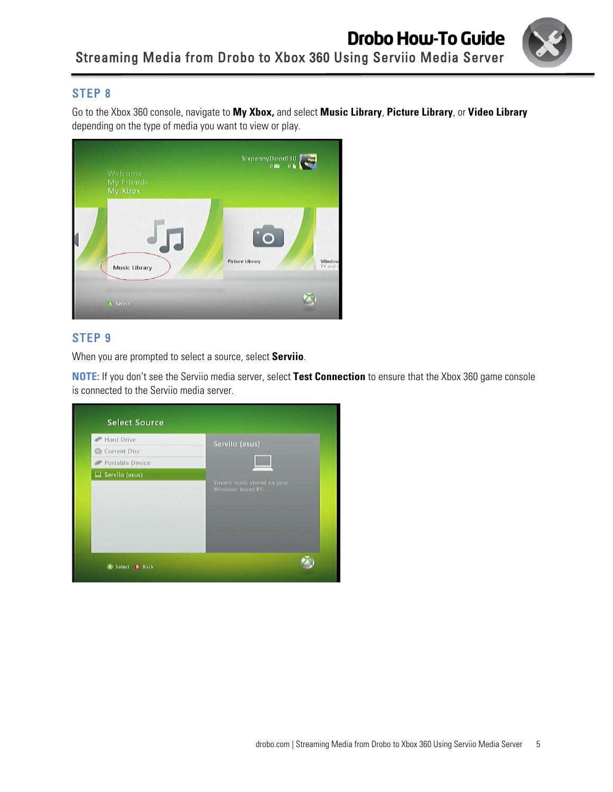

Go to the Xbox 360 console, navigate to **My Xbox,** and select **Music Library**, **Picture Library**, or **Video Library** depending on the type of media you want to view or play.



# STEP 9

When you are prompted to select a source, select **Serviio**.

**NOTE:** If you don't see the Serviio media server, select **Test Connection** to ensure that the Xbox 360 game console is connected to the Serviio media server.